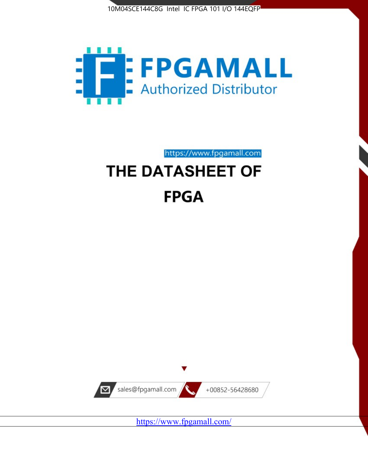



https://www.fpgamall.com

# THE DATASHEET OF **FPGA**



<https://www.fpgamall.com/>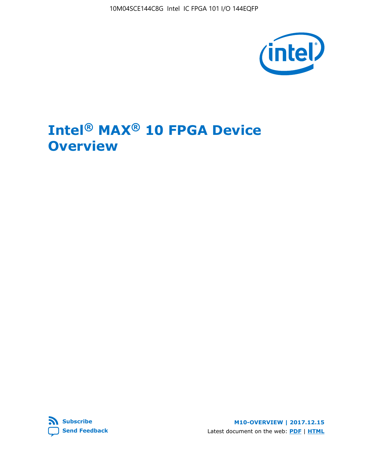10M04SCE144C8G Intel IC FPGA 101 I/O 144EQFP



# **Intel® MAX® 10 FPGA Device Overview**



**M10-OVERVIEW | 2017.12.15** Latest document on the web: **[PDF](https://www.altera.com/en_US/pdfs/literature/hb/max-10/m10_overview.pdf)** | **[HTML](https://www.altera.com/documentation/myt1396938463674.html)**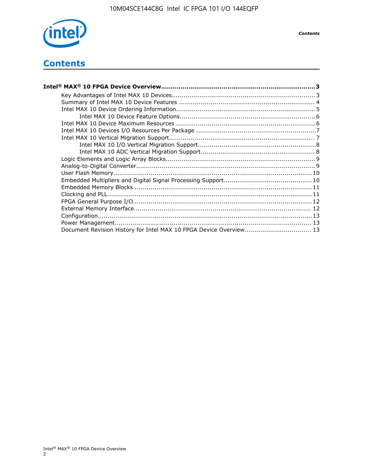

# **Contents**

| Intel® MAX® 10 FPGA Device Overview……………………………………………………………………………3  |  |
|--------------------------------------------------------------------|--|
|                                                                    |  |
|                                                                    |  |
|                                                                    |  |
|                                                                    |  |
|                                                                    |  |
|                                                                    |  |
|                                                                    |  |
|                                                                    |  |
|                                                                    |  |
|                                                                    |  |
|                                                                    |  |
|                                                                    |  |
|                                                                    |  |
|                                                                    |  |
|                                                                    |  |
|                                                                    |  |
|                                                                    |  |
|                                                                    |  |
|                                                                    |  |
| Document Revision History for Intel MAX 10 FPGA Device Overview 13 |  |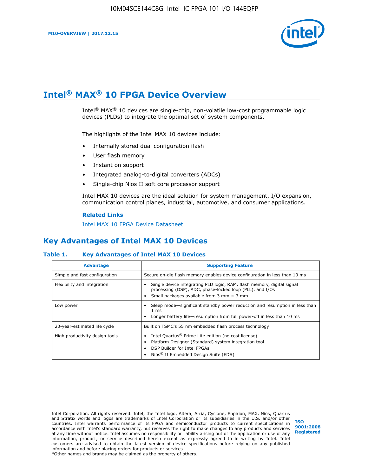

# **Intel® MAX® 10 FPGA Device Overview**

Intel® MAX® 10 devices are single-chip, non-volatile low-cost programmable logic devices (PLDs) to integrate the optimal set of system components.

The highlights of the Intel MAX 10 devices include:

- Internally stored dual configuration flash
- User flash memory
- Instant on support
- Integrated analog-to-digital converters (ADCs)
- Single-chip Nios II soft core processor support

Intel MAX 10 devices are the ideal solution for system management, I/O expansion, communication control planes, industrial, automotive, and consumer applications.

#### **Related Links**

[Intel MAX 10 FPGA Device Datasheet](https://www.altera.com/documentation/mcn1397700832153.html#mcn1397643748870)

## **Key Advantages of Intel MAX 10 Devices**

### **Table 1. Key Advantages of Intel MAX 10 Devices**

| <b>Advantage</b>               | <b>Supporting Feature</b>                                                                                                                                                                                  |
|--------------------------------|------------------------------------------------------------------------------------------------------------------------------------------------------------------------------------------------------------|
| Simple and fast configuration  | Secure on-die flash memory enables device configuration in less than 10 ms                                                                                                                                 |
| Flexibility and integration    | Single device integrating PLD logic, RAM, flash memory, digital signal<br>processing (DSP), ADC, phase-locked loop (PLL), and I/Os<br>Small packages available from 3 mm $\times$ 3 mm                     |
| Low power                      | Sleep mode—significant standby power reduction and resumption in less than<br>$1 \text{ ms}$<br>Longer battery life-resumption from full power-off in less than 10 ms                                      |
| 20-year-estimated life cycle   | Built on TSMC's 55 nm embedded flash process technology                                                                                                                                                    |
| High productivity design tools | Intel Quartus <sup>®</sup> Prime Lite edition (no cost license)<br>Platform Designer (Standard) system integration tool<br>DSP Builder for Intel FPGAs<br>Nios <sup>®</sup> II Embedded Design Suite (EDS) |

Intel Corporation. All rights reserved. Intel, the Intel logo, Altera, Arria, Cyclone, Enpirion, MAX, Nios, Quartus and Stratix words and logos are trademarks of Intel Corporation or its subsidiaries in the U.S. and/or other countries. Intel warrants performance of its FPGA and semiconductor products to current specifications in accordance with Intel's standard warranty, but reserves the right to make changes to any products and services at any time without notice. Intel assumes no responsibility or liability arising out of the application or use of any information, product, or service described herein except as expressly agreed to in writing by Intel. Intel customers are advised to obtain the latest version of device specifications before relying on any published information and before placing orders for products or services. \*Other names and brands may be claimed as the property of others.

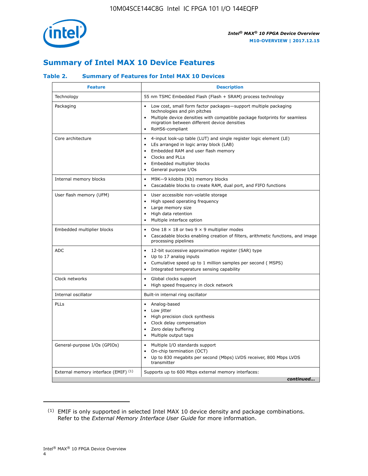

## **Summary of Intel MAX 10 Device Features**

### **Table 2. Summary of Features for Intel MAX 10 Devices**

| <b>Feature</b>                       | <b>Description</b>                                                                                                                                                                                                                                                                            |
|--------------------------------------|-----------------------------------------------------------------------------------------------------------------------------------------------------------------------------------------------------------------------------------------------------------------------------------------------|
| Technology                           | 55 nm TSMC Embedded Flash (Flash + SRAM) process technology                                                                                                                                                                                                                                   |
| Packaging                            | Low cost, small form factor packages-support multiple packaging<br>technologies and pin pitches<br>Multiple device densities with compatible package footprints for seamless<br>migration between different device densities<br>RoHS6-compliant                                               |
| Core architecture                    | 4-input look-up table (LUT) and single register logic element (LE)<br>$\bullet$<br>LEs arranged in logic array block (LAB)<br>$\bullet$<br>Embedded RAM and user flash memory<br>$\bullet$<br>Clocks and PLLs<br>$\bullet$<br>Embedded multiplier blocks<br>General purpose I/Os<br>$\bullet$ |
| Internal memory blocks               | M9K-9 kilobits (Kb) memory blocks<br>$\bullet$<br>Cascadable blocks to create RAM, dual port, and FIFO functions<br>$\bullet$                                                                                                                                                                 |
| User flash memory (UFM)              | User accessible non-volatile storage<br>$\bullet$<br>High speed operating frequency<br>$\bullet$<br>Large memory size<br>$\bullet$<br>High data retention<br>$\bullet$<br>Multiple interface option                                                                                           |
| Embedded multiplier blocks           | One $18 \times 18$ or two 9 $\times$ 9 multiplier modes<br>$\bullet$<br>Cascadable blocks enabling creation of filters, arithmetic functions, and image<br>processing pipelines                                                                                                               |
| <b>ADC</b>                           | 12-bit successive approximation register (SAR) type<br>$\bullet$<br>Up to 17 analog inputs<br>$\bullet$<br>Cumulative speed up to 1 million samples per second (MSPS)<br>Integrated temperature sensing capability                                                                            |
| Clock networks                       | Global clocks support<br>$\bullet$<br>High speed frequency in clock network                                                                                                                                                                                                                   |
| Internal oscillator                  | Built-in internal ring oscillator                                                                                                                                                                                                                                                             |
| PLLs                                 | Analog-based<br>Low jitter<br>$\bullet$<br>High precision clock synthesis<br>$\bullet$<br>Clock delay compensation<br>$\bullet$<br>Zero delay buffering<br>$\bullet$<br>Multiple output taps<br>$\bullet$                                                                                     |
| General-purpose I/Os (GPIOs)         | • Multiple I/O standards support<br>On-chip termination (OCT)<br>$\bullet$<br>Up to 830 megabits per second (Mbps) LVDS receiver, 800 Mbps LVDS<br>transmitter                                                                                                                                |
| External memory interface (EMIF) (1) | Supports up to 600 Mbps external memory interfaces:<br>continued                                                                                                                                                                                                                              |

<sup>(1)</sup> EMIF is only supported in selected Intel MAX 10 device density and package combinations. Refer to the *External Memory Interface User Guide* for more information.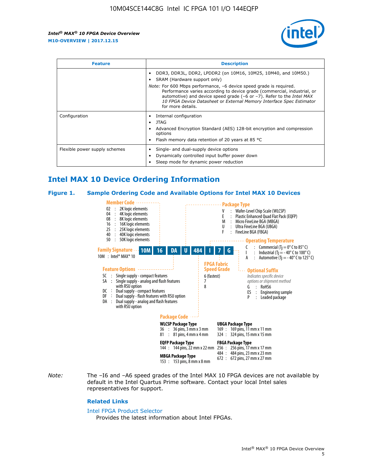

| <b>Feature</b>                | <b>Description</b>                                                                                                                                                                                                                                                                                                                             |
|-------------------------------|------------------------------------------------------------------------------------------------------------------------------------------------------------------------------------------------------------------------------------------------------------------------------------------------------------------------------------------------|
|                               | DDR3, DDR3L, DDR2, LPDDR2 (on 10M16, 10M25, 10M40, and 10M50.)<br>SRAM (Hardware support only)                                                                                                                                                                                                                                                 |
|                               | <i>Note:</i> For 600 Mbps performance, -6 device speed grade is required.<br>Performance varies according to device grade (commercial, industrial, or<br>automotive) and device speed grade $(-6 \text{ or } -7)$ . Refer to the <i>Intel MAX</i><br>10 FPGA Device Datasheet or External Memory Interface Spec Estimator<br>for more details. |
| Configuration                 | Internal configuration                                                                                                                                                                                                                                                                                                                         |
|                               | <b>JTAG</b>                                                                                                                                                                                                                                                                                                                                    |
|                               | Advanced Encryption Standard (AES) 128-bit encryption and compression<br>options                                                                                                                                                                                                                                                               |
|                               | Flash memory data retention of 20 years at 85 $^{\circ}$ C                                                                                                                                                                                                                                                                                     |
| Flexible power supply schemes | Single- and dual-supply device options<br>Dynamically controlled input buffer power down<br>Sleep mode for dynamic power reduction                                                                                                                                                                                                             |

## **Intel MAX 10 Device Ordering Information**

#### **Figure 1. Sample Ordering Code and Available Options for Intel MAX 10 Devices**



*Note:* The –I6 and –A6 speed grades of the Intel MAX 10 FPGA devices are not available by default in the Intel Quartus Prime software. Contact your local Intel sales representatives for support.

#### **Related Links**

#### [Intel FPGA Product Selector](http://www.altera.com/products/selector/psg-selector.html)

Provides the latest information about Intel FPGAs.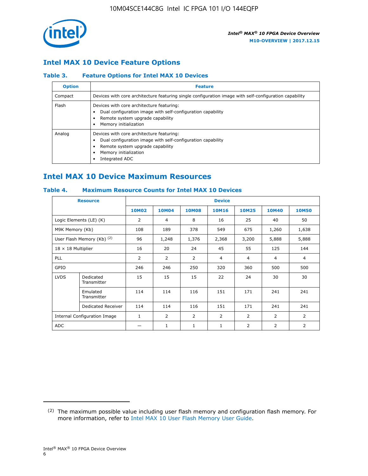

## **Intel MAX 10 Device Feature Options**

### **Table 3. Feature Options for Intel MAX 10 Devices**

| <b>Option</b> | <b>Feature</b>                                                                                                                                                                          |
|---------------|-----------------------------------------------------------------------------------------------------------------------------------------------------------------------------------------|
| Compact       | Devices with core architecture featuring single configuration image with self-configuration capability                                                                                  |
| Flash         | Devices with core architecture featuring:<br>Dual configuration image with self-configuration capability<br>Remote system upgrade capability<br>Memory initialization                   |
| Analog        | Devices with core architecture featuring:<br>Dual configuration image with self-configuration capability<br>Remote system upgrade capability<br>Memory initialization<br>Integrated ADC |

## **Intel MAX 10 Device Maximum Resources**

## **Table 4. Maximum Resource Counts for Intel MAX 10 Devices**

|                           | <b>Resource</b>              | <b>Device</b>  |              |              |                |                |              |                |
|---------------------------|------------------------------|----------------|--------------|--------------|----------------|----------------|--------------|----------------|
|                           |                              | <b>10M02</b>   | <b>10M04</b> | <b>10M08</b> | <b>10M16</b>   | <b>10M25</b>   | <b>10M40</b> | <b>10M50</b>   |
|                           | Logic Elements (LE) (K)      | $\overline{2}$ | 4            | 8            | 16             | 25             | 40           | 50             |
| M9K Memory (Kb)           |                              | 108            | 189          | 378          | 549            | 675            | 1,260        | 1,638          |
|                           | User Flash Memory (Kb) (2)   | 96             | 1,248        | 1,376        | 2,368          | 3,200          | 5,888        | 5,888          |
| $18 \times 18$ Multiplier |                              | 16             | 20           | 24           | 45             | 55             | 125          | 144            |
| <b>PLL</b>                |                              | 2              | 2            | 2            | $\overline{4}$ | $\overline{4}$ | 4            | $\overline{4}$ |
| GPIO                      |                              | 246            | 246          | 250          | 320            | 360            | 500          | 500            |
| <b>LVDS</b>               | Dedicated<br>Transmitter     | 15             | 15           | 15           | 22             | 24             | 30           | 30             |
|                           | Emulated<br>Transmitter      | 114            | 114          | 116          | 151            | 171            | 241          | 241            |
|                           | Dedicated Receiver           | 114            | 114          | 116          | 151            | 171            | 241          | 241            |
|                           | Internal Configuration Image | $\mathbf{1}$   | 2            | 2            | $\overline{2}$ | 2              | 2            | $\overline{2}$ |
| <b>ADC</b>                |                              |                | 1            | 1            | $\mathbf{1}$   | 2              | 2            | 2              |

<sup>(2)</sup> The maximum possible value including user flash memory and configuration flash memory. For more information, refer to [Intel MAX 10 User Flash Memory User Guide](https://www.altera.com/documentation/vgo1395753117436.html#vgo1395811844282).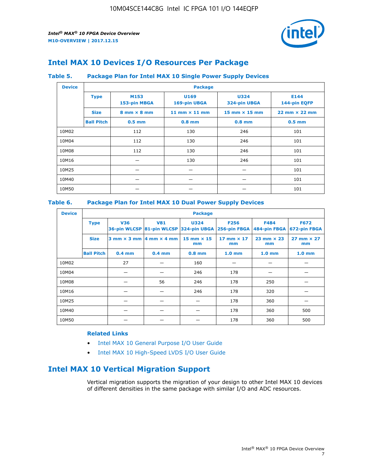

## **Intel MAX 10 Devices I/O Resources Per Package**

### **Table 5. Package Plan for Intel MAX 10 Single Power Supply Devices**

| <b>Device</b> |                   | <b>Package</b>                     |                      |                                      |                                      |  |  |  |
|---------------|-------------------|------------------------------------|----------------------|--------------------------------------|--------------------------------------|--|--|--|
|               | <b>Type</b>       | M153<br>153-pin MBGA               | U169<br>169-pin UBGA | <b>U324</b><br>324-pin UBGA          | E144<br>144-pin EQFP                 |  |  |  |
|               | <b>Size</b>       | $8 \text{ mm} \times 8 \text{ mm}$ | 11 mm $\times$ 11 mm | $15 \text{ mm} \times 15 \text{ mm}$ | $22 \text{ mm} \times 22 \text{ mm}$ |  |  |  |
|               | <b>Ball Pitch</b> | $0.5$ mm                           | $0.8$ mm             | $0.8$ mm                             | $0.5$ mm                             |  |  |  |
| 10M02         |                   | 112                                | 130                  | 246                                  | 101                                  |  |  |  |
| 10M04         |                   | 112                                | 130                  | 246                                  | 101                                  |  |  |  |
| 10M08         | 112<br>130        |                                    | 246                  | 101                                  |                                      |  |  |  |
| 10M16         | 130               |                                    | 246                  | 101                                  |                                      |  |  |  |
| 10M25         |                   |                                    |                      |                                      | 101                                  |  |  |  |
| 10M40         |                   |                                    |                      |                                      | 101                                  |  |  |  |
| 10M50         |                   |                                    |                      |                                      | 101                                  |  |  |  |

## **Table 6. Package Plan for Intel MAX 10 Dual Power Supply Devices**

| <b>Device</b> |                   | <b>Package</b> |                                            |                                                                    |                         |                           |                             |  |  |
|---------------|-------------------|----------------|--------------------------------------------|--------------------------------------------------------------------|-------------------------|---------------------------|-----------------------------|--|--|
|               | <b>Type</b>       | <b>V36</b>     | <b>V81</b>                                 | <b>U324</b><br>36-pin WLCSP 81-pin WLCSP 324-pin UBGA 256-pin FBGA | <b>F256</b>             | F484<br>484-pin FBGA      | <b>F672</b><br>672-pin FBGA |  |  |
|               | <b>Size</b>       |                | $3$ mm $\times$ 3 mm $ 4$ mm $\times$ 4 mm | 15 mm $\times$ 15<br>mm                                            | 17 mm $\times$ 17<br>mm | $23$ mm $\times$ 23<br>mm | $27$ mm $\times$ 27<br>mm   |  |  |
|               | <b>Ball Pitch</b> | $0.4$ mm       | $0.4$ mm                                   | $0.8$ mm                                                           | 1.0 <sub>mm</sub>       | 1.0 <sub>mm</sub>         | 1.0 <sub>mm</sub>           |  |  |
| 10M02         |                   | 27             |                                            | 160                                                                |                         |                           |                             |  |  |
| 10M04         |                   |                |                                            | 246                                                                | 178                     |                           |                             |  |  |
| 10M08         |                   |                | 56                                         | 246                                                                | 178                     | 250                       |                             |  |  |
| 10M16         |                   |                |                                            | 246                                                                | 178                     | 320                       |                             |  |  |
| 10M25         |                   |                |                                            |                                                                    | 178                     | 360                       |                             |  |  |
| 10M40         |                   |                |                                            |                                                                    | 178                     | 360                       | 500                         |  |  |
| 10M50         |                   |                |                                            |                                                                    | 178                     | 360                       | 500                         |  |  |

## **Related Links**

- [Intel MAX 10 General Purpose I/O User Guide](https://www.altera.com/documentation/sam1393999966669.html#sam1394000084476)
- [Intel MAX 10 High-Speed LVDS I/O User Guide](https://www.altera.com/documentation/sam1394433606063.html#sam1394433911642)

## **Intel MAX 10 Vertical Migration Support**

Vertical migration supports the migration of your design to other Intel MAX 10 devices of different densities in the same package with similar I/O and ADC resources.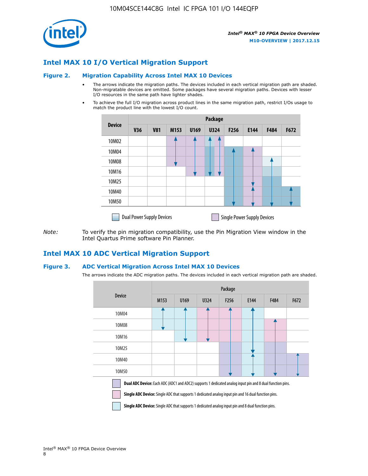

## **Intel MAX 10 I/O Vertical Migration Support**

#### **Figure 2. Migration Capability Across Intel MAX 10 Devices**

- The arrows indicate the migration paths. The devices included in each vertical migration path are shaded. Non-migratable devices are omitted. Some packages have several migration paths. Devices with lesser I/O resources in the same path have lighter shades.
- To achieve the full I/O migration across product lines in the same migration path, restrict I/Os usage to match the product line with the lowest I/O count.

|                                                                        | <b>Package</b> |            |      |      |             |      |      |      |      |
|------------------------------------------------------------------------|----------------|------------|------|------|-------------|------|------|------|------|
| <b>Device</b>                                                          | <b>V36</b>     | <b>V81</b> | M153 | U169 | <b>U324</b> | F256 | E144 | F484 | F672 |
| 10M02                                                                  |                |            |      |      | 7           |      |      |      |      |
| 10M04                                                                  |                |            |      |      |             |      |      |      |      |
| 10M08                                                                  |                |            |      |      |             |      |      |      |      |
| 10M16                                                                  |                |            |      |      |             |      |      |      |      |
| 10M25                                                                  |                |            |      |      |             |      |      |      |      |
| 10M40                                                                  |                |            |      |      |             |      |      |      |      |
| 10M50                                                                  |                |            |      |      |             |      |      |      |      |
| <b>Single Power Supply Devices</b><br><b>Dual Power Supply Devices</b> |                |            |      |      |             |      |      |      |      |

*Note:* To verify the pin migration compatibility, use the Pin Migration View window in the Intel Quartus Prime software Pin Planner.

## **Intel MAX 10 ADC Vertical Migration Support**

#### **Figure 3. ADC Vertical Migration Across Intel MAX 10 Devices**

The arrows indicate the ADC migration paths. The devices included in each vertical migration path are shaded.

|                                                                                                                                                                                                                         | Package |      |      |                  |      |      |      |  |  |
|-------------------------------------------------------------------------------------------------------------------------------------------------------------------------------------------------------------------------|---------|------|------|------------------|------|------|------|--|--|
| <b>Device</b>                                                                                                                                                                                                           | M153    | U169 | U324 | F <sub>256</sub> | E144 | F484 | F672 |  |  |
| 10M04                                                                                                                                                                                                                   |         |      |      |                  |      |      |      |  |  |
| 10M08                                                                                                                                                                                                                   |         |      |      |                  |      |      |      |  |  |
| 10M16                                                                                                                                                                                                                   |         |      |      |                  |      |      |      |  |  |
| 10M25                                                                                                                                                                                                                   |         |      |      |                  |      |      |      |  |  |
| 10M40                                                                                                                                                                                                                   |         |      |      |                  |      |      |      |  |  |
| 10M50                                                                                                                                                                                                                   |         |      |      |                  |      |      |      |  |  |
| Dual ADC Device: Each ADC (ADC1 and ADC2) supports 1 dedicated analog input pin and 8 dual function pins.<br><b>Single ADC Device:</b> Single ADC that supports 1 dedicated analog input pin and 16 dual function pins. |         |      |      |                  |      |      |      |  |  |

**Single ADC Device:** Single ADC that supports 1 dedicated analog input pin and 8 dual function pins.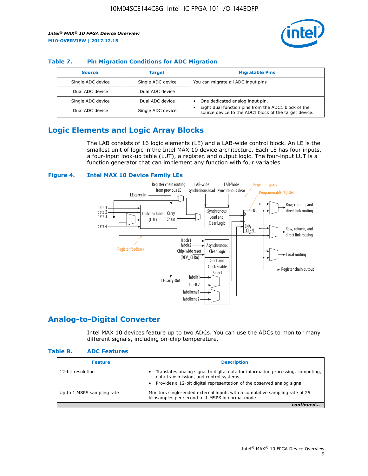

## **Table 7. Pin Migration Conditions for ADC Migration**

| <b>Source</b>     | <b>Target</b>     | <b>Migratable Pins</b>                                                                                            |
|-------------------|-------------------|-------------------------------------------------------------------------------------------------------------------|
| Single ADC device | Single ADC device | You can migrate all ADC input pins                                                                                |
| Dual ADC device   | Dual ADC device   |                                                                                                                   |
| Single ADC device | Dual ADC device   | One dedicated analog input pin.                                                                                   |
| Dual ADC device   | Single ADC device | Eight dual function pins from the ADC1 block of the<br>٠<br>source device to the ADC1 block of the target device. |

## **Logic Elements and Logic Array Blocks**

The LAB consists of 16 logic elements (LE) and a LAB-wide control block. An LE is the smallest unit of logic in the Intel MAX 10 device architecture. Each LE has four inputs, a four-input look-up table (LUT), a register, and output logic. The four-input LUT is a function generator that can implement any function with four variables.

#### **Figure 4. Intel MAX 10 Device Family LEs**



## **Analog-to-Digital Converter**

Intel MAX 10 devices feature up to two ADCs. You can use the ADCs to monitor many different signals, including on-chip temperature.

#### **Table 8. ADC Features**

| <b>Feature</b>             | <b>Description</b>                                                                                                                                                                                  |
|----------------------------|-----------------------------------------------------------------------------------------------------------------------------------------------------------------------------------------------------|
| 12-bit resolution          | Translates analog signal to digital data for information processing, computing,<br>data transmission, and control systems<br>Provides a 12-bit digital representation of the observed analog signal |
| Up to 1 MSPS sampling rate | Monitors single-ended external inputs with a cumulative sampling rate of 25<br>kilosamples per second to 1 MSPS in normal mode                                                                      |
|                            |                                                                                                                                                                                                     |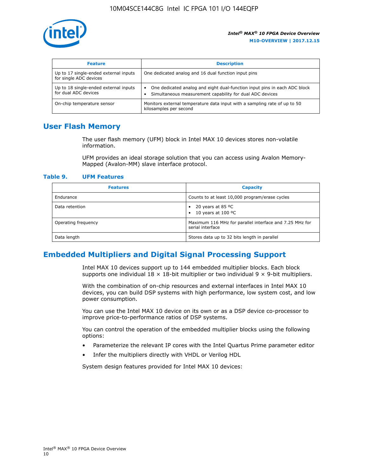

| <b>Feature</b>                                                  | <b>Description</b>                                                                                                                         |
|-----------------------------------------------------------------|--------------------------------------------------------------------------------------------------------------------------------------------|
| Up to 17 single-ended external inputs<br>for single ADC devices | One dedicated analog and 16 dual function input pins                                                                                       |
| Up to 18 single-ended external inputs<br>for dual ADC devices   | One dedicated analog and eight dual-function input pins in each ADC block<br>٠<br>Simultaneous measurement capability for dual ADC devices |
| On-chip temperature sensor                                      | Monitors external temperature data input with a sampling rate of up to 50<br>kilosamples per second                                        |

## **User Flash Memory**

The user flash memory (UFM) block in Intel MAX 10 devices stores non-volatile information.

UFM provides an ideal storage solution that you can access using Avalon Memory-Mapped (Avalon-MM) slave interface protocol.

#### **Table 9. UFM Features**

| <b>Features</b>     | <b>Capacity</b>                                                             |
|---------------------|-----------------------------------------------------------------------------|
| Endurance           | Counts to at least 10,000 program/erase cycles                              |
| Data retention      | 20 years at 85 $^{\circ}$ C<br>٠<br>10 years at 100 °C<br>$\bullet$         |
| Operating frequency | Maximum 116 MHz for parallel interface and 7.25 MHz for<br>serial interface |
| Data length         | Stores data up to 32 bits length in parallel                                |

## **Embedded Multipliers and Digital Signal Processing Support**

Intel MAX 10 devices support up to 144 embedded multiplier blocks. Each block supports one individual  $18 \times 18$ -bit multiplier or two individual  $9 \times 9$ -bit multipliers.

With the combination of on-chip resources and external interfaces in Intel MAX 10 devices, you can build DSP systems with high performance, low system cost, and low power consumption.

You can use the Intel MAX 10 device on its own or as a DSP device co-processor to improve price-to-performance ratios of DSP systems.

You can control the operation of the embedded multiplier blocks using the following options:

- Parameterize the relevant IP cores with the Intel Quartus Prime parameter editor
- Infer the multipliers directly with VHDL or Verilog HDL

System design features provided for Intel MAX 10 devices: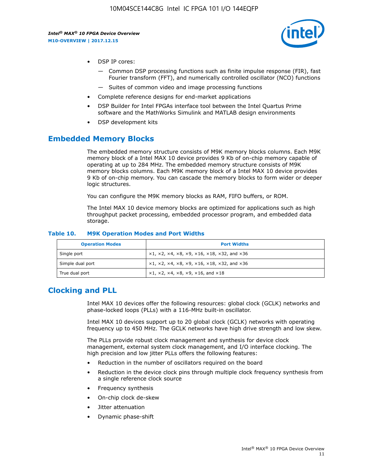

- DSP IP cores:
	- Common DSP processing functions such as finite impulse response (FIR), fast Fourier transform (FFT), and numerically controlled oscillator (NCO) functions
	- Suites of common video and image processing functions
- Complete reference designs for end-market applications
- DSP Builder for Intel FPGAs interface tool between the Intel Quartus Prime software and the MathWorks Simulink and MATLAB design environments
- DSP development kits

## **Embedded Memory Blocks**

The embedded memory structure consists of M9K memory blocks columns. Each M9K memory block of a Intel MAX 10 device provides 9 Kb of on-chip memory capable of operating at up to 284 MHz. The embedded memory structure consists of M9K memory blocks columns. Each M9K memory block of a Intel MAX 10 device provides 9 Kb of on-chip memory. You can cascade the memory blocks to form wider or deeper logic structures.

You can configure the M9K memory blocks as RAM, FIFO buffers, or ROM.

The Intel MAX 10 device memory blocks are optimized for applications such as high throughput packet processing, embedded processor program, and embedded data storage.

| <b>Operation Modes</b> | <b>Port Widths</b>                                                                       |
|------------------------|------------------------------------------------------------------------------------------|
| Single port            | $x1, x2, x4, x8, x9, x16, x18, x32, and x36$                                             |
| Simple dual port       | $x1, x2, x4, x8, x9, x16, x18, x32, and x36$                                             |
| True dual port         | $\times$ 1, $\times$ 2, $\times$ 4, $\times$ 8, $\times$ 9, $\times$ 16, and $\times$ 18 |

#### **Table 10. M9K Operation Modes and Port Widths**

## **Clocking and PLL**

Intel MAX 10 devices offer the following resources: global clock (GCLK) networks and phase-locked loops (PLLs) with a 116-MHz built-in oscillator.

Intel MAX 10 devices support up to 20 global clock (GCLK) networks with operating frequency up to 450 MHz. The GCLK networks have high drive strength and low skew.

The PLLs provide robust clock management and synthesis for device clock management, external system clock management, and I/O interface clocking. The high precision and low jitter PLLs offers the following features:

- Reduction in the number of oscillators required on the board
- Reduction in the device clock pins through multiple clock frequency synthesis from a single reference clock source
- Frequency synthesis
- On-chip clock de-skew
- Jitter attenuation
- Dynamic phase-shift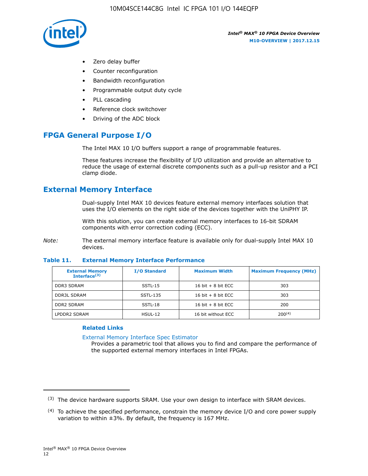

- Zero delay buffer
- Counter reconfiguration
- Bandwidth reconfiguration
- Programmable output duty cycle
- PLL cascading
- Reference clock switchover
- Driving of the ADC block

## **FPGA General Purpose I/O**

The Intel MAX 10 I/O buffers support a range of programmable features.

These features increase the flexibility of I/O utilization and provide an alternative to reduce the usage of external discrete components such as a pull-up resistor and a PCI clamp diode.

## **External Memory Interface**

Dual-supply Intel MAX 10 devices feature external memory interfaces solution that uses the I/O elements on the right side of the devices together with the UniPHY IP.

With this solution, you can create external memory interfaces to 16-bit SDRAM components with error correction coding (ECC).

*Note:* The external memory interface feature is available only for dual-supply Intel MAX 10 devices.

#### **Table 11. External Memory Interface Performance**

| <b>External Memory</b><br>Interface $(3)$ | <b>I/O Standard</b> | <b>Maximum Width</b> | <b>Maximum Frequency (MHz)</b> |
|-------------------------------------------|---------------------|----------------------|--------------------------------|
| <b>DDR3 SDRAM</b>                         | $SSTL-15$           | 16 bit $+8$ bit ECC  | 303                            |
| <b>DDR3L SDRAM</b>                        | SSTL-135            | 16 bit $+8$ bit ECC  | 303                            |
| <b>DDR2 SDRAM</b>                         | SSTL-18             | 16 bit $+8$ bit ECC  | 200                            |
| LPDDR2 SDRAM                              | HSUL-12             | 16 bit without ECC   | 200(4)                         |

#### **Related Links**

[External Memory Interface Spec Estimator](http://www.altera.com/technology/memory/estimator/mem-emif-index.html)

Provides a parametric tool that allows you to find and compare the performance of the supported external memory interfaces in Intel FPGAs.

 $(3)$  The device hardware supports SRAM. Use your own design to interface with SRAM devices.

 $(4)$  To achieve the specified performance, constrain the memory device I/O and core power supply variation to within ±3%. By default, the frequency is 167 MHz.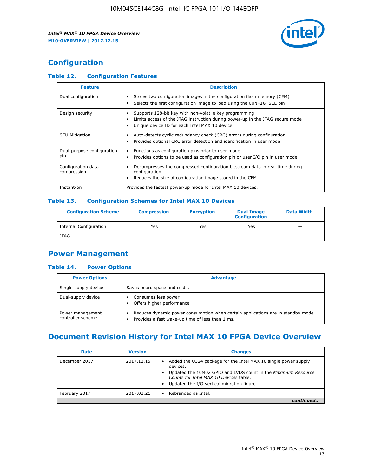

## **Configuration**

## **Table 12. Configuration Features**

| <b>Feature</b>                    | <b>Description</b>                                                                                                                                                                       |
|-----------------------------------|------------------------------------------------------------------------------------------------------------------------------------------------------------------------------------------|
| Dual configuration                | Stores two configuration images in the configuration flash memory (CFM)<br>Selects the first configuration image to load using the CONFIG SEL pin                                        |
| Design security                   | Supports 128-bit key with non-volatile key programming<br>Limits access of the JTAG instruction during power-up in the JTAG secure mode<br>Unique device ID for each Intel MAX 10 device |
| <b>SEU Mitigation</b>             | Auto-detects cyclic redundancy check (CRC) errors during configuration<br>Provides optional CRC error detection and identification in user mode                                          |
| Dual-purpose configuration<br>pin | Functions as configuration pins prior to user mode<br>$\bullet$<br>Provides options to be used as configuration pin or user I/O pin in user mode                                         |
| Configuration data<br>compression | Decompresses the compressed configuration bitstream data in real-time during<br>configuration<br>Reduces the size of configuration image stored in the CFM                               |
| Instant-on                        | Provides the fastest power-up mode for Intel MAX 10 devices.                                                                                                                             |

#### **Table 13. Configuration Schemes for Intel MAX 10 Devices**

| <b>Configuration Scheme</b>   | <b>Compression</b>       | <b>Encryption</b> | <b>Dual Image</b><br><b>Configuration</b> | <b>Data Width</b> |
|-------------------------------|--------------------------|-------------------|-------------------------------------------|-------------------|
| <b>Internal Configuration</b> | Yes                      | Yes               | Yes                                       |                   |
| <b>JTAG</b>                   | $\overline{\phantom{a}}$ |                   | -                                         |                   |

## **Power Management**

## **Table 14. Power Options**

| <b>Power Options</b>                  | <b>Advantage</b>                                                                                                                        |  |
|---------------------------------------|-----------------------------------------------------------------------------------------------------------------------------------------|--|
| Single-supply device                  | Saves board space and costs.                                                                                                            |  |
| Dual-supply device                    | Consumes less power<br>Offers higher performance<br>$\bullet$                                                                           |  |
| Power management<br>controller scheme | Reduces dynamic power consumption when certain applications are in standby mode<br>Provides a fast wake-up time of less than 1 ms.<br>٠ |  |

## **Document Revision History for Intel MAX 10 FPGA Device Overview**

| <b>Date</b>   | <b>Version</b> | <b>Changes</b>                                                                                                                                                                                                                       |
|---------------|----------------|--------------------------------------------------------------------------------------------------------------------------------------------------------------------------------------------------------------------------------------|
| December 2017 | 2017.12.15     | Added the U324 package for the Intel MAX 10 single power supply<br>devices.<br>Updated the 10M02 GPIO and LVDS count in the Maximum Resource<br>Counts for Intel MAX 10 Devices table.<br>Updated the I/O vertical migration figure. |
| February 2017 | 2017.02.21     | Rebranded as Intel.                                                                                                                                                                                                                  |
|               |                |                                                                                                                                                                                                                                      |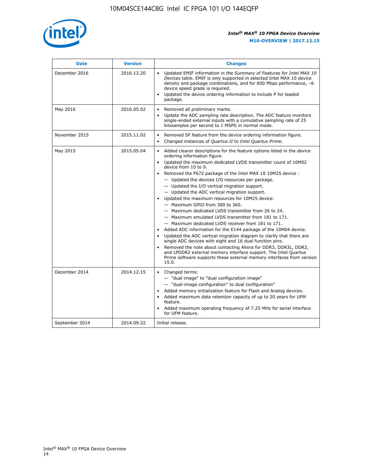

| <b>Date</b>    | <b>Version</b> | <b>Changes</b>                                                                                                                                                                                                                                                                                                                                                                                                                                                                                                                                                                                                                                                                                                                                                                                                                                                                                                                                                                                                                                                                                                                                           |
|----------------|----------------|----------------------------------------------------------------------------------------------------------------------------------------------------------------------------------------------------------------------------------------------------------------------------------------------------------------------------------------------------------------------------------------------------------------------------------------------------------------------------------------------------------------------------------------------------------------------------------------------------------------------------------------------------------------------------------------------------------------------------------------------------------------------------------------------------------------------------------------------------------------------------------------------------------------------------------------------------------------------------------------------------------------------------------------------------------------------------------------------------------------------------------------------------------|
| December 2016  | 2016.12.20     | • Updated EMIF information in the Summary of Features for Intel MAX 10<br>Devices table. EMIF is only supported in selected Intel MAX 10 device<br>density and package combinations, and for 600 Mbps performance, -6<br>device speed grade is required.<br>Updated the device ordering information to include P for leaded<br>package.                                                                                                                                                                                                                                                                                                                                                                                                                                                                                                                                                                                                                                                                                                                                                                                                                  |
| May 2016       | 2016.05.02     | Removed all preliminary marks.<br>Update the ADC sampling rate description. The ADC feature monitors<br>$\bullet$<br>single-ended external inputs with a cumulative sampling rate of 25<br>kilosamples per second to 1 MSPS in normal mode.                                                                                                                                                                                                                                                                                                                                                                                                                                                                                                                                                                                                                                                                                                                                                                                                                                                                                                              |
| November 2015  | 2015.11.02     | Removed SF feature from the device ordering information figure.<br>$\bullet$<br>Changed instances of Quartus II to Intel Quartus Prime.<br>$\bullet$                                                                                                                                                                                                                                                                                                                                                                                                                                                                                                                                                                                                                                                                                                                                                                                                                                                                                                                                                                                                     |
| May 2015       | 2015.05.04     | Added clearer descriptions for the feature options listed in the device<br>$\bullet$<br>ordering information figure.<br>Updated the maximum dedicated LVDS transmitter count of 10M02<br>$\bullet$<br>device from 10 to 9.<br>Removed the F672 package of the Intel MAX 10 10M25 device :<br>- Updated the devices I/O resources per package.<br>$-$ Updated the I/O vertical migration support.<br>- Updated the ADC vertical migration support.<br>Updated the maximum resources for 10M25 device:<br>- Maximum GPIO from 380 to 360.<br>- Maximum dedicated LVDS transmitter from 26 to 24.<br>- Maximum emulated LVDS transmitter from 181 to 171.<br>- Maximum dedicated LVDS receiver from 181 to 171.<br>Added ADC information for the E144 package of the 10M04 device.<br>$\bullet$<br>Updated the ADC vertical migration diagram to clarify that there are<br>single ADC devices with eight and 16 dual function pins.<br>Removed the note about contacting Altera for DDR3, DDR3L, DDR2,<br>and LPDDR2 external memory interface support. The Intel Quartus<br>Prime software supports these external memory interfaces from version<br>15.0. |
| December 2014  | 2014.12.15     | Changed terms:<br>$\bullet$<br>- "dual image" to "dual configuration image"<br>- "dual-image configuration" to dual configuration"<br>Added memory initialization feature for Flash and Analog devices.<br>$\bullet$<br>Added maximum data retention capacity of up to 20 years for UFM<br>$\bullet$<br>feature.<br>Added maximum operating frequency of 7.25 MHz for serial interface<br>for UFM feature.                                                                                                                                                                                                                                                                                                                                                                                                                                                                                                                                                                                                                                                                                                                                               |
| September 2014 | 2014.09.22     | Initial release.                                                                                                                                                                                                                                                                                                                                                                                                                                                                                                                                                                                                                                                                                                                                                                                                                                                                                                                                                                                                                                                                                                                                         |